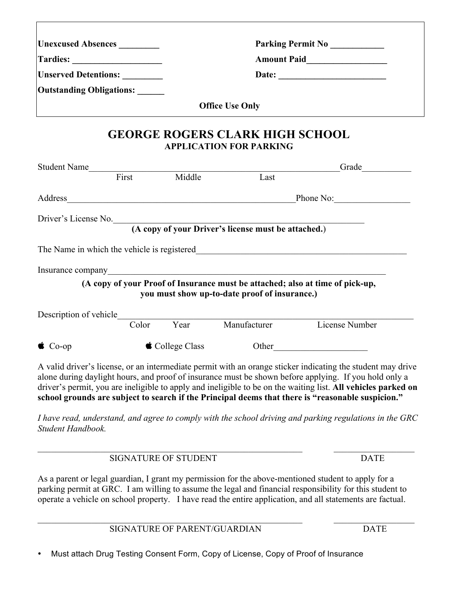| Unexcused Absences<br>Unserved Detentions: ________ |                              |                             |                                                                                                     |                                                                                                                                                                                                                                                                                                                                                                                                                                            |
|-----------------------------------------------------|------------------------------|-----------------------------|-----------------------------------------------------------------------------------------------------|--------------------------------------------------------------------------------------------------------------------------------------------------------------------------------------------------------------------------------------------------------------------------------------------------------------------------------------------------------------------------------------------------------------------------------------------|
|                                                     |                              |                             |                                                                                                     |                                                                                                                                                                                                                                                                                                                                                                                                                                            |
| Outstanding Obligations: _____                      |                              |                             |                                                                                                     |                                                                                                                                                                                                                                                                                                                                                                                                                                            |
|                                                     |                              |                             | <b>Office Use Only</b>                                                                              |                                                                                                                                                                                                                                                                                                                                                                                                                                            |
|                                                     |                              |                             | <b>GEORGE ROGERS CLARK HIGH SCHOOL</b><br><b>APPLICATION FOR PARKING</b>                            |                                                                                                                                                                                                                                                                                                                                                                                                                                            |
|                                                     |                              |                             | Student Name<br>First Middle Last                                                                   | Grade                                                                                                                                                                                                                                                                                                                                                                                                                                      |
|                                                     |                              |                             |                                                                                                     |                                                                                                                                                                                                                                                                                                                                                                                                                                            |
|                                                     |                              |                             |                                                                                                     | Address Phone No: Phone No:                                                                                                                                                                                                                                                                                                                                                                                                                |
|                                                     |                              |                             | Driver's License No. (A copy of your Driver's license must be attached.)                            |                                                                                                                                                                                                                                                                                                                                                                                                                                            |
|                                                     |                              |                             |                                                                                                     |                                                                                                                                                                                                                                                                                                                                                                                                                                            |
|                                                     |                              |                             |                                                                                                     |                                                                                                                                                                                                                                                                                                                                                                                                                                            |
|                                                     |                              |                             |                                                                                                     |                                                                                                                                                                                                                                                                                                                                                                                                                                            |
|                                                     |                              |                             | (A copy of your Proof of Insurance must be attached; also at time of pick-up,                       |                                                                                                                                                                                                                                                                                                                                                                                                                                            |
|                                                     |                              |                             | you must show up-to-date proof of insurance.)                                                       |                                                                                                                                                                                                                                                                                                                                                                                                                                            |
|                                                     |                              |                             | Color Year Manufacturer                                                                             | License Number                                                                                                                                                                                                                                                                                                                                                                                                                             |
|                                                     |                              |                             |                                                                                                     |                                                                                                                                                                                                                                                                                                                                                                                                                                            |
| $\bullet$ Co-op                                     |                              | $\bullet$ College Class     |                                                                                                     | Other                                                                                                                                                                                                                                                                                                                                                                                                                                      |
|                                                     |                              |                             |                                                                                                     | A valid driver's license, or an intermediate permit with an orange sticker indicating the student may drive<br>alone during daylight hours, and proof of insurance must be shown before applying. If you hold only a<br>driver's permit, you are ineligible to apply and ineligible to be on the waiting list. All vehicles parked on<br>school grounds are subject to search if the Principal deems that there is "reasonable suspicion." |
| Student Handbook.                                   |                              |                             |                                                                                                     | I have read, understand, and agree to comply with the school driving and parking regulations in the GRC                                                                                                                                                                                                                                                                                                                                    |
|                                                     |                              | <b>SIGNATURE OF STUDENT</b> |                                                                                                     | <b>DATE</b>                                                                                                                                                                                                                                                                                                                                                                                                                                |
|                                                     |                              |                             | As a parent or legal guardian, I grant my permission for the above-mentioned student to apply for a | parking permit at GRC. I am willing to assume the legal and financial responsibility for this student to<br>operate a vehicle on school property. I have read the entire application, and all statements are factual.                                                                                                                                                                                                                      |
|                                                     | SIGNATURE OF PARENT/GUARDIAN |                             |                                                                                                     |                                                                                                                                                                                                                                                                                                                                                                                                                                            |

• Must attach Drug Testing Consent Form, Copy of License, Copy of Proof of Insurance